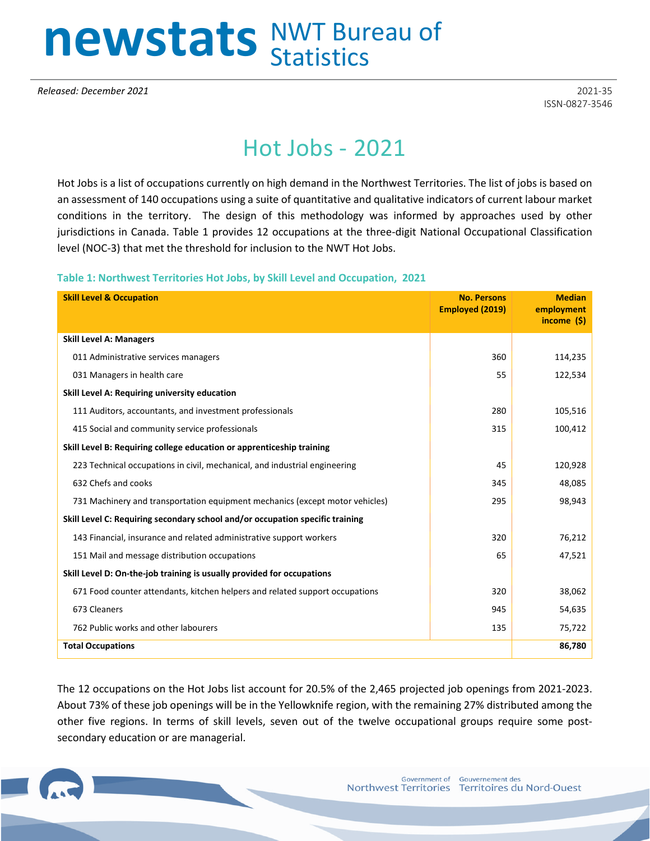## newstats NWT Bureau of

*Released: December 2021* 2021-35

ISSN-0827-3546

## Hot Jobs - 2021

Hot Jobs is a list of occupations currently on high demand in the Northwest Territories. The list of jobs is based on an assessment of 140 occupations using a suite of quantitative and qualitative indicators of current labour market conditions in the territory. The design of this methodology was informed by approaches used by other jurisdictions in Canada. Table 1 provides 12 occupations at the three-digit National Occupational Classification level (NOC-3) that met the threshold for inclusion to the NWT Hot Jobs.

**Table 1: Northwest Territories Hot Jobs, by Skill Level and Occupation, 2021**

| <b>Skill Level &amp; Occupation</b>                                           | <b>No. Persons</b><br><b>Employed (2019)</b> | <b>Median</b><br>employment<br>income $(5)$ |
|-------------------------------------------------------------------------------|----------------------------------------------|---------------------------------------------|
| <b>Skill Level A: Managers</b>                                                |                                              |                                             |
| 011 Administrative services managers                                          | 360                                          | 114,235                                     |
| 031 Managers in health care                                                   | 55                                           | 122,534                                     |
| Skill Level A: Requiring university education                                 |                                              |                                             |
| 111 Auditors, accountants, and investment professionals                       | 280                                          | 105,516                                     |
| 415 Social and community service professionals                                | 315                                          | 100,412                                     |
| Skill Level B: Requiring college education or apprenticeship training         |                                              |                                             |
| 223 Technical occupations in civil, mechanical, and industrial engineering    | 45                                           | 120,928                                     |
| 632 Chefs and cooks                                                           | 345                                          | 48,085                                      |
| 731 Machinery and transportation equipment mechanics (except motor vehicles)  | 295                                          | 98,943                                      |
| Skill Level C: Requiring secondary school and/or occupation specific training |                                              |                                             |
| 143 Financial, insurance and related administrative support workers           | 320                                          | 76,212                                      |
| 151 Mail and message distribution occupations                                 | 65                                           | 47,521                                      |
| Skill Level D: On-the-job training is usually provided for occupations        |                                              |                                             |
| 671 Food counter attendants, kitchen helpers and related support occupations  | 320                                          | 38,062                                      |
| 673 Cleaners                                                                  | 945                                          | 54,635                                      |
| 762 Public works and other labourers                                          | 135                                          | 75,722                                      |
| <b>Total Occupations</b>                                                      |                                              | 86,780                                      |

The 12 occupations on the Hot Jobs list account for 20.5% of the 2,465 projected job openings from 2021-2023. About 73% of these job openings will be in the Yellowknife region, with the remaining 27% distributed among the other five regions. In terms of skill levels, seven out of the twelve occupational groups require some postsecondary education or are managerial.

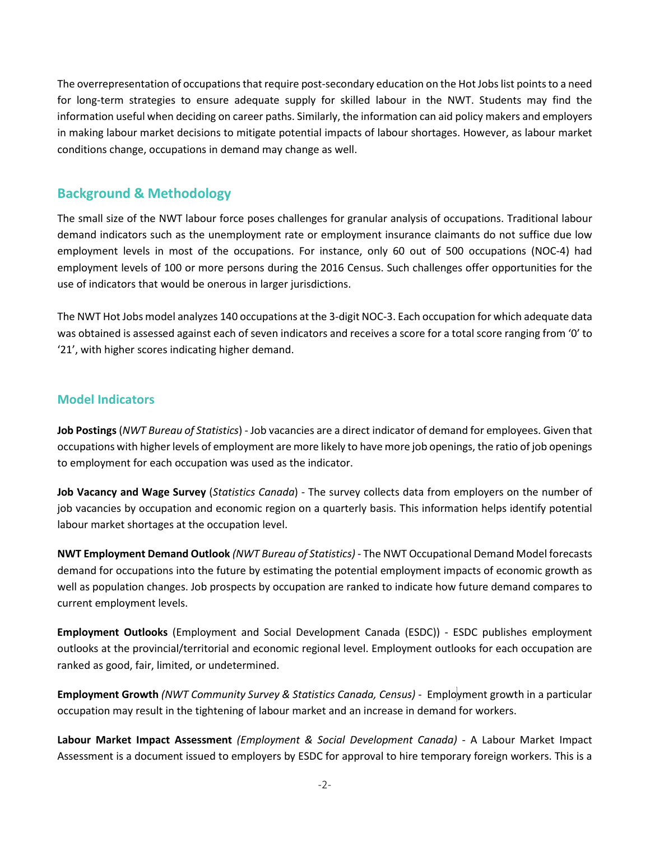The overrepresentation of occupations that require post-secondary education on the Hot Jobs list points to a need for long-term strategies to ensure adequate supply for skilled labour in the NWT. Students may find the information useful when deciding on career paths. Similarly, the information can aid policy makers and employers in making labour market decisions to mitigate potential impacts of labour shortages. However, as labour market conditions change, occupations in demand may change as well.

## **Background & Methodology**

The small size of the NWT labour force poses challenges for granular analysis of occupations. Traditional labour demand indicators such as the unemployment rate or employment insurance claimants do not suffice due low employment levels in most of the occupations. For instance, only 60 out of 500 occupations (NOC-4) had employment levels of 100 or more persons during the 2016 Census. Such challenges offer opportunities for the use of indicators that would be onerous in larger jurisdictions.

The NWT Hot Jobs model analyzes 140 occupations at the 3-digit NOC-3. Each occupation for which adequate data was obtained is assessed against each of seven indicators and receives a score for a total score ranging from '0' to '21', with higher scores indicating higher demand.

## **Model Indicators**

**Job Postings**(*NWT Bureau of Statistics*) - Job vacancies are a direct indicator of demand for employees. Given that occupations with higher levels of employment are more likely to have more job openings, the ratio of job openings to employment for each occupation was used as the indicator.

**Job Vacancy and Wage Survey** (*Statistics Canada*) - The survey collects data from employers on the number of job vacancies by occupation and economic region on a quarterly basis. This information helps identify potential labour market shortages at the occupation level.

**NWT Employment Demand Outlook** *(NWT Bureau of Statistics)* - The NWT Occupational Demand Model forecasts demand for occupations into the future by estimating the potential employment impacts of economic growth as well as population changes. Job prospects by occupation are ranked to indicate how future demand compares to current employment levels.

**Employment Outlooks** (Employment and Social Development Canada (ESDC)) - ESDC publishes employment outlooks at the provincial/territorial and economic regional level. Employment outlooks for each occupation are ranked as good, fair, limited, or undetermined.

**Employment Growth** *(NWT Community Survey & Statistics Canada, Census)* - Employment growth in a particular occupation may result in the tightening of labour market and an increase in demand for workers.

**Labour Market Impact Assessment** *(Employment & Social Development Canada)* - A Labour Market Impact Assessment is a document issued to employers by ESDC for approval to hire temporary foreign workers. This is a